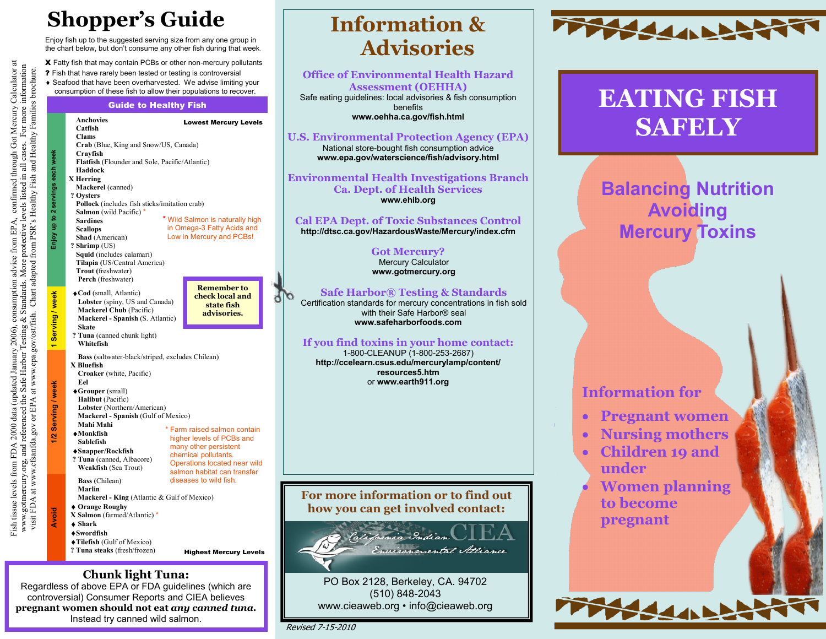# **Shopper's Guide**

Enjoy fish up to the suggested serving size from any one group in the chart below, but don't consume any other fish during that week.

X Fatty fish that may contain PCBs or other non-mercury pollutants

- ? Fish that have rarely been tested or testing is controversial
- Seafood that have been overharvested. We advise limiting your
	- consumption of these fish to allow their populations to recover.

# Guide to Healthy Fish



Fish tissue levels from FDA 2000 data (updated January 2006), consumption advice from EPA, confirmed through Got Mercury Calculator at www.gotmercury.org, and referenced the Safe Harbor Testing & Standards. More protective levels listed in all cases. For more information visit FDA at www.cfsanfda.gov or EPA at www.epa.gov/ost/fish. Chart adapted from PSR's Healthy Fish and Healthy Families brochure.

Fish tissue levels from FDA 2000 data (updated January 2006), consumption advice from EPA, confirmed through Got Mercury Calculator at<br>www.gotmercury.org, and referenced the Safe Harbor Testing & Standards. More protective

#### **Chunk light Tuna:**

Regardless of above EPA or FDA guidelines (which are controversial) Consumer Reports and CIEA believes **pregnant women should not eat** *any canned tuna.* Instead try canned wild salmon.

# **Information & Advisories**

**Office of Environmental Health Hazard Assessment (OEHHA)** Safe eating guidelines: local advisories & fish consumption benefits

**www.oehha.ca.gov/fish.html**

#### **U.S. Environmental Protection Agency (EPA)**

National store-bought fish consumption advice **www.epa.gov/waterscience/fish/advisory.html**

#### **Environmental Health Investigations Branch Ca. Dept. of Health Services www.ehib.org**

#### **Cal EPA Dept. of Toxic Substances Control**

**http://dtsc.ca.gov/HazardousWaste/Mercury/index.cfm**

#### **Got Mercury?** Mercury Calculator **www.gotmercury.org**

#### **Safe Harbor® Testing & Standards**

Certification standards for mercury concentrations in fish sold with their Safe Harbor® seal **www.safeharborfoods.com**

#### **If you find toxins in your home contact:**

1-800-CLEANUP (1-800-253-2687) **http://ccelearn.csus.edu/mercurylamp/content/ resources5.htm** or **www.earth911.org**

#### **For more information or to find out how you can get involved contact:**



PO Box 2128, Berkeley, CA. 94702 (510) 848-2043 www.cieaweb.org • info@cieaweb.org

ďЪ



# **EATING FISH**

# **Balancing Nutrition Avoiding Mercury Toxins**

### **Information for**

- **Pregnant women**
- **Nursing mothers**
- **Children 19 and under**
- **Women planning to become pregnant**

SSAN